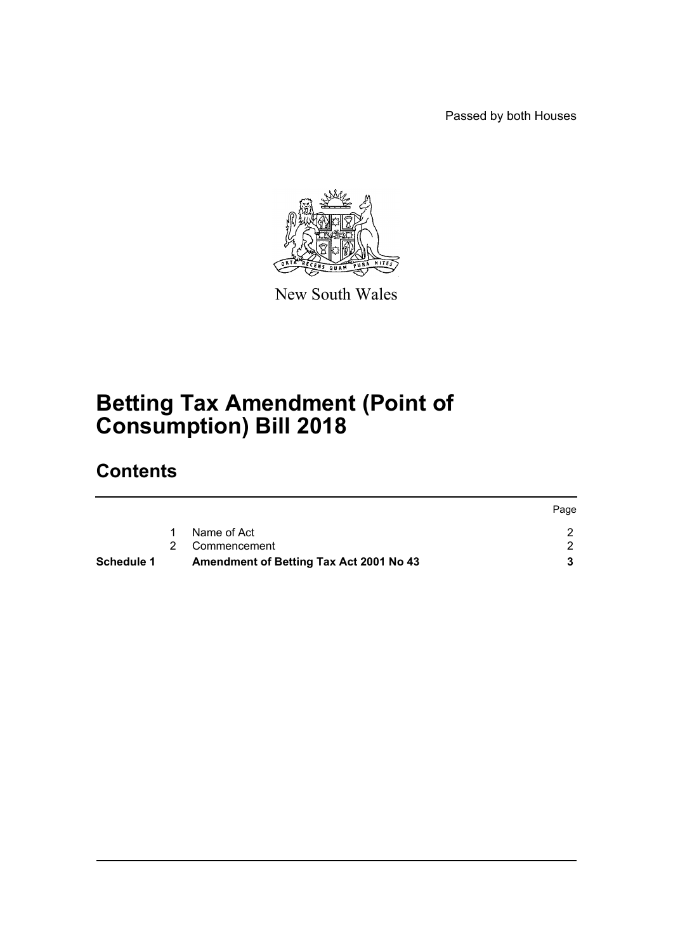Passed by both Houses



New South Wales

# **Betting Tax Amendment (Point of Consumption) Bill 2018**

## **Contents**

| <b>Schedule 1</b> | Amendment of Betting Tax Act 2001 No 43 |      |
|-------------------|-----------------------------------------|------|
|                   | 2 Commencement                          |      |
|                   | Name of Act                             |      |
|                   |                                         | Page |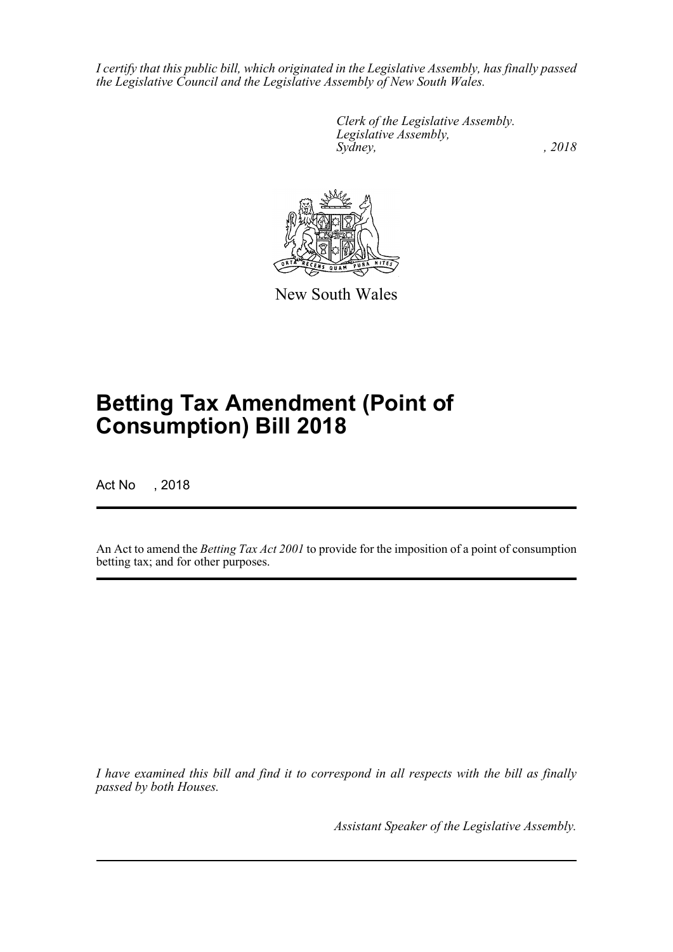*I certify that this public bill, which originated in the Legislative Assembly, has finally passed the Legislative Council and the Legislative Assembly of New South Wales.*

> *Clerk of the Legislative Assembly. Legislative Assembly, Sydney, , 2018*



New South Wales

# **Betting Tax Amendment (Point of Consumption) Bill 2018**

Act No , 2018

An Act to amend the *Betting Tax Act 2001* to provide for the imposition of a point of consumption betting tax; and for other purposes.

*I have examined this bill and find it to correspond in all respects with the bill as finally passed by both Houses.*

*Assistant Speaker of the Legislative Assembly.*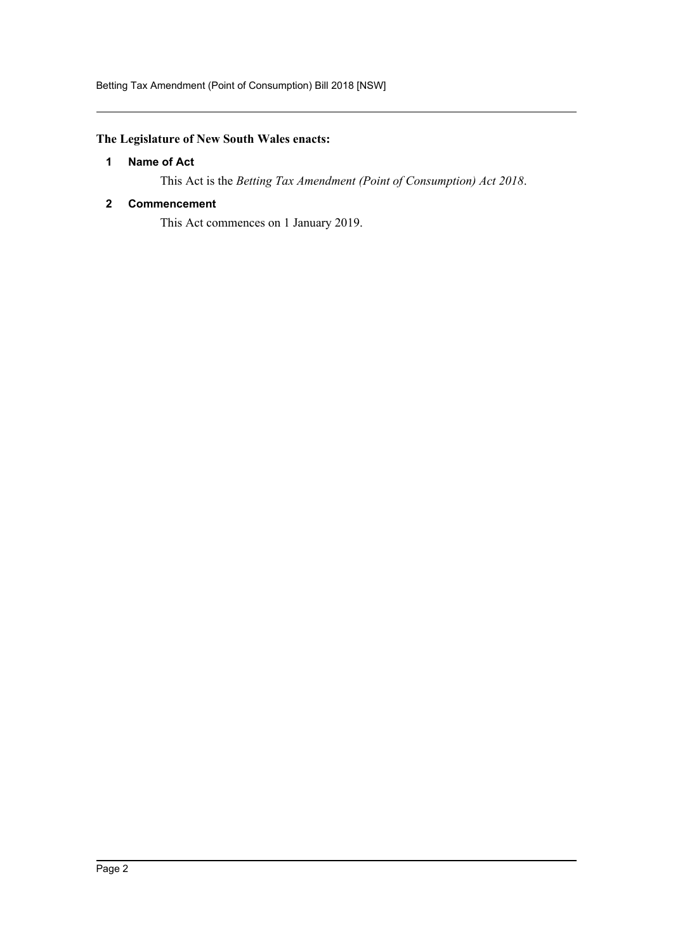## <span id="page-2-0"></span>**The Legislature of New South Wales enacts:**

#### **1 Name of Act**

This Act is the *Betting Tax Amendment (Point of Consumption) Act 2018*.

#### <span id="page-2-1"></span>**2 Commencement**

This Act commences on 1 January 2019.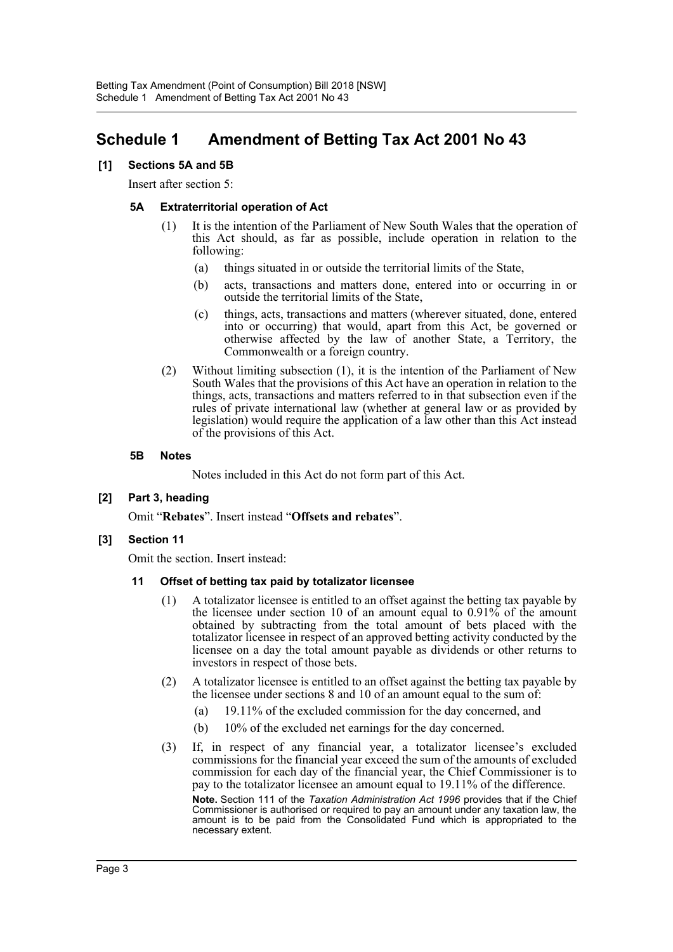## <span id="page-3-0"></span>**Schedule 1 Amendment of Betting Tax Act 2001 No 43**

#### **[1] Sections 5A and 5B**

Insert after section 5:

#### **5A Extraterritorial operation of Act**

- (1) It is the intention of the Parliament of New South Wales that the operation of this Act should, as far as possible, include operation in relation to the following:
	- (a) things situated in or outside the territorial limits of the State,
	- (b) acts, transactions and matters done, entered into or occurring in or outside the territorial limits of the State,
	- (c) things, acts, transactions and matters (wherever situated, done, entered into or occurring) that would, apart from this Act, be governed or otherwise affected by the law of another State, a Territory, the Commonwealth or a foreign country.
- (2) Without limiting subsection (1), it is the intention of the Parliament of New South Wales that the provisions of this Act have an operation in relation to the things, acts, transactions and matters referred to in that subsection even if the rules of private international law (whether at general law or as provided by legislation) would require the application of a law other than this Act instead of the provisions of this Act.

#### **5B Notes**

Notes included in this Act do not form part of this Act.

**[2] Part 3, heading**

Omit "**Rebates**". Insert instead "**Offsets and rebates**".

#### **[3] Section 11**

Omit the section. Insert instead:

#### **11 Offset of betting tax paid by totalizator licensee**

- (1) A totalizator licensee is entitled to an offset against the betting tax payable by the licensee under section 10 of an amount equal to 0.91% of the amount obtained by subtracting from the total amount of bets placed with the totalizator licensee in respect of an approved betting activity conducted by the licensee on a day the total amount payable as dividends or other returns to investors in respect of those bets.
- (2) A totalizator licensee is entitled to an offset against the betting tax payable by the licensee under sections 8 and 10 of an amount equal to the sum of:
	- (a) 19.11% of the excluded commission for the day concerned, and
	- (b) 10% of the excluded net earnings for the day concerned.
- (3) If, in respect of any financial year, a totalizator licensee's excluded commissions for the financial year exceed the sum of the amounts of excluded commission for each day of the financial year, the Chief Commissioner is to pay to the totalizator licensee an amount equal to 19.11% of the difference. **Note.** Section 111 of the *Taxation Administration Act 1996* provides that if the Chief Commissioner is authorised or required to pay an amount under any taxation law, the amount is to be paid from the Consolidated Fund which is appropriated to the necessary extent.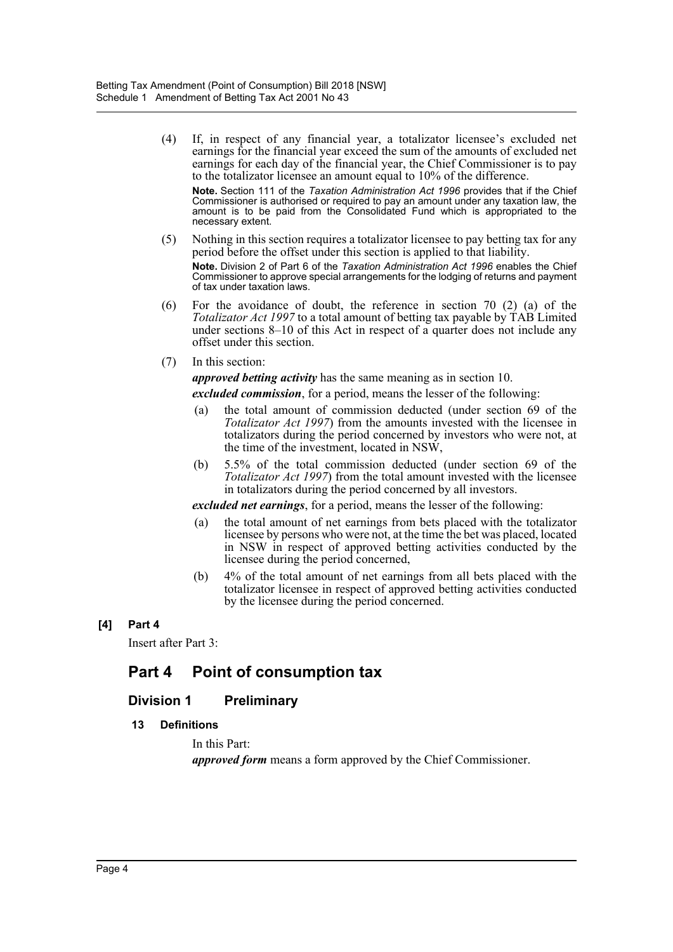- (4) If, in respect of any financial year, a totalizator licensee's excluded net earnings for the financial year exceed the sum of the amounts of excluded net earnings for each day of the financial year, the Chief Commissioner is to pay to the totalizator licensee an amount equal to 10% of the difference. **Note.** Section 111 of the *Taxation Administration Act 1996* provides that if the Chief Commissioner is authorised or required to pay an amount under any taxation law, the amount is to be paid from the Consolidated Fund which is appropriated to the necessary extent.
- (5) Nothing in this section requires a totalizator licensee to pay betting tax for any period before the offset under this section is applied to that liability. **Note.** Division 2 of Part 6 of the *Taxation Administration Act 1996* enables the Chief Commissioner to approve special arrangements for the lodging of returns and payment of tax under taxation laws.
- (6) For the avoidance of doubt, the reference in section 70 (2) (a) of the *Totalizator Act 1997* to a total amount of betting tax payable by TAB Limited under sections 8–10 of this Act in respect of a quarter does not include any offset under this section.
- (7) In this section:

*approved betting activity* has the same meaning as in section 10.

*excluded commission*, for a period, means the lesser of the following:

- (a) the total amount of commission deducted (under section 69 of the *Totalizator Act 1997*) from the amounts invested with the licensee in totalizators during the period concerned by investors who were not, at the time of the investment, located in NSW,
- (b) 5.5% of the total commission deducted (under section 69 of the *Totalizator Act 1997*) from the total amount invested with the licensee in totalizators during the period concerned by all investors.

*excluded net earnings*, for a period, means the lesser of the following:

- (a) the total amount of net earnings from bets placed with the totalizator licensee by persons who were not, at the time the bet was placed, located in NSW in respect of approved betting activities conducted by the licensee during the period concerned,
- (b) 4% of the total amount of net earnings from all bets placed with the totalizator licensee in respect of approved betting activities conducted by the licensee during the period concerned.

#### **[4] Part 4**

Insert after Part 3:

## **Part 4 Point of consumption tax**

## **Division 1 Preliminary**

#### **13 Definitions**

In this Part:

*approved form* means a form approved by the Chief Commissioner.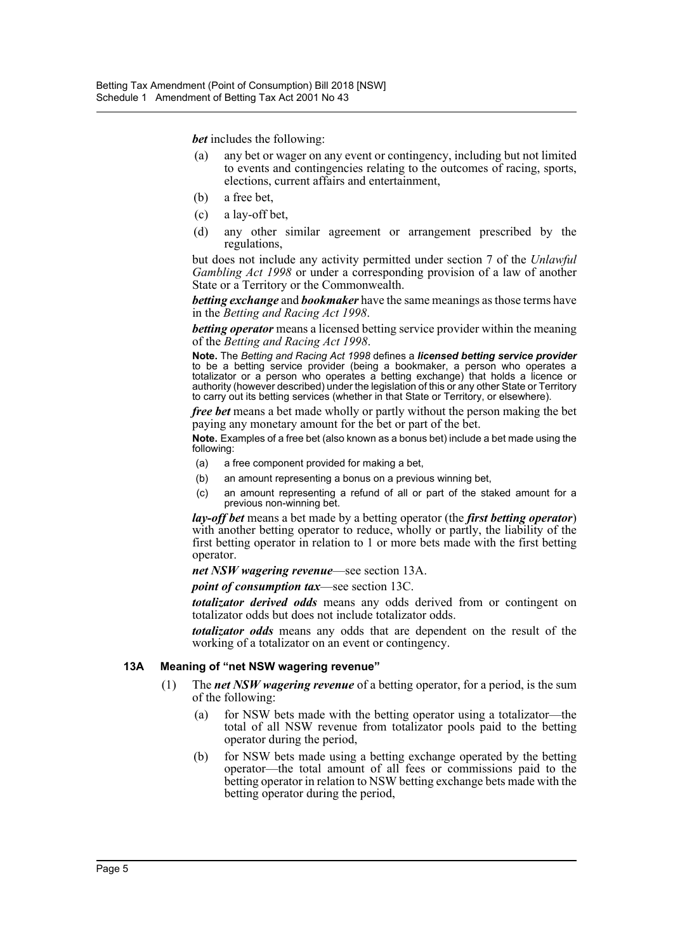*bet* includes the following:

- (a) any bet or wager on any event or contingency, including but not limited to events and contingencies relating to the outcomes of racing, sports, elections, current affairs and entertainment,
- (b) a free bet,
- (c) a lay-off bet,
- (d) any other similar agreement or arrangement prescribed by the regulations,

but does not include any activity permitted under section 7 of the *Unlawful Gambling Act 1998* or under a corresponding provision of a law of another State or a Territory or the Commonwealth.

*betting exchange* and *bookmaker* have the same meanings as those terms have in the *Betting and Racing Act 1998*.

*betting operator* means a licensed betting service provider within the meaning of the *Betting and Racing Act 1998*.

**Note.** The *Betting and Racing Act 1998* defines a *licensed betting service provider* to be a betting service provider (being a bookmaker, a person who operates a totalizator or a person who operates a betting exchange) that holds a licence or authority (however described) under the legislation of this or any other State or Territory to carry out its betting services (whether in that State or Territory, or elsewhere).

*free bet* means a bet made wholly or partly without the person making the bet paying any monetary amount for the bet or part of the bet.

**Note.** Examples of a free bet (also known as a bonus bet) include a bet made using the following:

- (a) a free component provided for making a bet,
- (b) an amount representing a bonus on a previous winning bet,
- (c) an amount representing a refund of all or part of the staked amount for a previous non-winning bet.

*lay-off bet* means a bet made by a betting operator (the *first betting operator*) with another betting operator to reduce, wholly or partly, the liability of the first betting operator in relation to 1 or more bets made with the first betting operator.

*net NSW wagering revenue*—see section 13A.

*point of consumption tax*—see section 13C.

*totalizator derived odds* means any odds derived from or contingent on totalizator odds but does not include totalizator odds.

*totalizator odds* means any odds that are dependent on the result of the working of a totalizator on an event or contingency.

#### **13A Meaning of "net NSW wagering revenue"**

- (1) The *net NSW wagering revenue* of a betting operator, for a period, is the sum of the following:
	- (a) for NSW bets made with the betting operator using a totalizator—the total of all NSW revenue from totalizator pools paid to the betting operator during the period,
	- (b) for NSW bets made using a betting exchange operated by the betting operator—the total amount of all fees or commissions paid to the betting operator in relation to NSW betting exchange bets made with the betting operator during the period,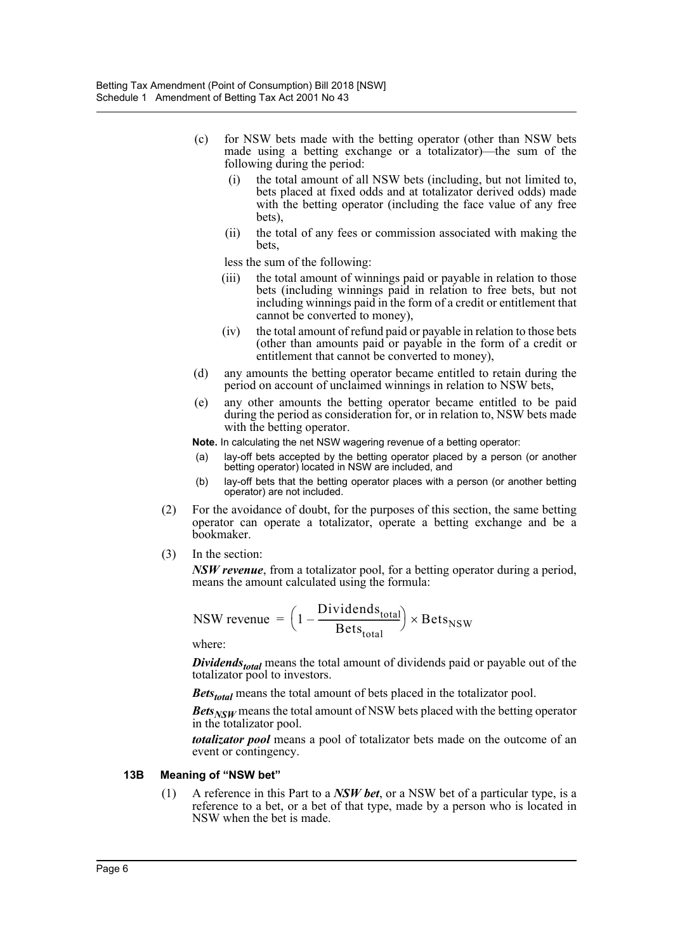- (c) for NSW bets made with the betting operator (other than NSW bets made using a betting exchange or a totalizator)—the sum of the following during the period:
	- (i) the total amount of all NSW bets (including, but not limited to, bets placed at fixed odds and at totalizator derived odds) made with the betting operator (including the face value of any free bets),
	- (ii) the total of any fees or commission associated with making the bets,

less the sum of the following:

- (iii) the total amount of winnings paid or payable in relation to those bets (including winnings paid in relation to free bets, but not including winnings paid in the form of a credit or entitlement that cannot be converted to money),
- (iv) the total amount of refund paid or payable in relation to those bets (other than amounts paid or payable in the form of a credit or entitlement that cannot be converted to money),
- (d) any amounts the betting operator became entitled to retain during the period on account of unclaimed winnings in relation to NSW bets,
- (e) any other amounts the betting operator became entitled to be paid during the period as consideration for, or in relation to, NSW bets made with the betting operator.
- **Note.** In calculating the net NSW wagering revenue of a betting operator:
- (a) lay-off bets accepted by the betting operator placed by a person (or another betting operator) located in NSW are included, and
- (b) lay-off bets that the betting operator places with a person (or another betting operator) are not included.
- (2) For the avoidance of doubt, for the purposes of this section, the same betting operator can operate a totalizator, operate a betting exchange and be a bookmaker.
- (3) In the section:

*NSW revenue*, from a totalizator pool, for a betting operator during a period, means the amount calculated using the formula:

$$
NSW \text{ revenue } = \left(1 - \frac{\text{Dividends}_{\text{total}}}{\text{Bets}_{\text{total}}}\right) \times \text{Bets}_{\text{NSW}}
$$

where:

*Dividends<sub>total</sub>* means the total amount of dividends paid or payable out of the totalizator pool to investors.

*Bets<sub>total</sub>* means the total amount of bets placed in the totalizator pool.

*Bets<sub>NSW</sub>* means the total amount of NSW bets placed with the betting operator in the totalizator pool.

*totalizator pool* means a pool of totalizator bets made on the outcome of an event or contingency.

#### **13B Meaning of "NSW bet"**

(1) A reference in this Part to a *NSW bet*, or a NSW bet of a particular type, is a reference to a bet, or a bet of that type, made by a person who is located in NSW when the bet is made.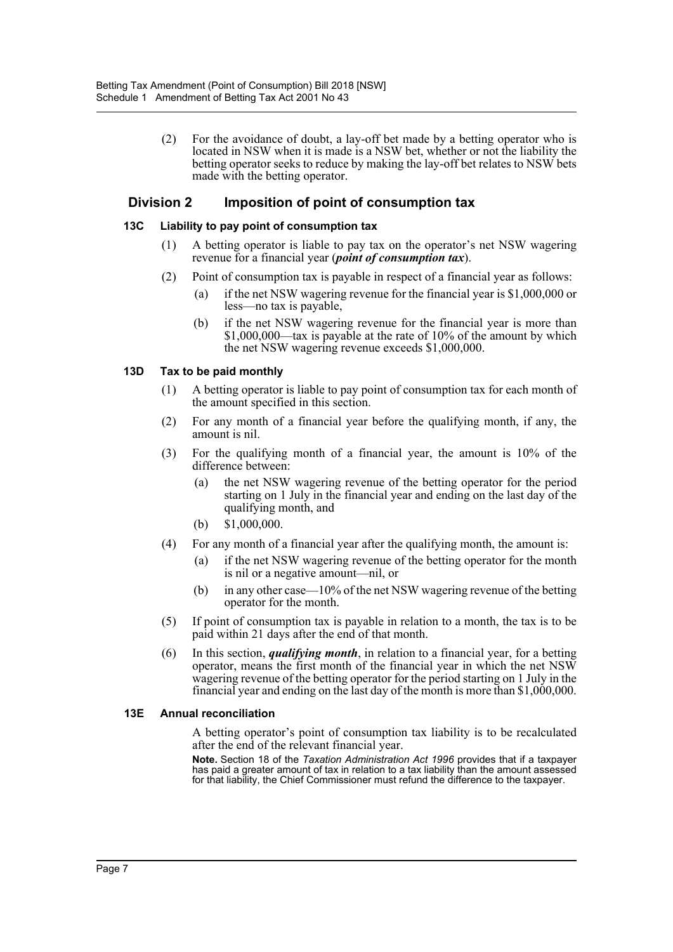(2) For the avoidance of doubt, a lay-off bet made by a betting operator who is located in NSW when it is made is a NSW bet, whether or not the liability the betting operator seeks to reduce by making the lay-off bet relates to NSW bets made with the betting operator.

### **Division 2 Imposition of point of consumption tax**

#### **13C Liability to pay point of consumption tax**

- (1) A betting operator is liable to pay tax on the operator's net NSW wagering revenue for a financial year (*point of consumption tax*).
- (2) Point of consumption tax is payable in respect of a financial year as follows:
	- (a) if the net NSW wagering revenue for the financial year is \$1,000,000 or less—no tax is payable,
	- (b) if the net NSW wagering revenue for the financial year is more than  $$1,000,000$ —tax is payable at the rate of 10% of the amount by which the net NSW wagering revenue exceeds \$1,000,000.

#### **13D Tax to be paid monthly**

- (1) A betting operator is liable to pay point of consumption tax for each month of the amount specified in this section.
- (2) For any month of a financial year before the qualifying month, if any, the amount is nil.
- (3) For the qualifying month of a financial year, the amount is 10% of the difference between:
	- (a) the net NSW wagering revenue of the betting operator for the period starting on 1 July in the financial year and ending on the last day of the qualifying month, and
	- (b) \$1,000,000.
- (4) For any month of a financial year after the qualifying month, the amount is:
	- (a) if the net NSW wagering revenue of the betting operator for the month is nil or a negative amount—nil, or
	- (b) in any other case—10% of the net NSW wagering revenue of the betting operator for the month.
- (5) If point of consumption tax is payable in relation to a month, the tax is to be paid within 21 days after the end of that month.
- (6) In this section, *qualifying month*, in relation to a financial year, for a betting operator, means the first month of the financial year in which the net NSW wagering revenue of the betting operator for the period starting on 1 July in the financial year and ending on the last day of the month is more than \$1,000,000.

#### **13E Annual reconciliation**

A betting operator's point of consumption tax liability is to be recalculated after the end of the relevant financial year.

**Note.** Section 18 of the *Taxation Administration Act 1996* provides that if a taxpayer has paid a greater amount of tax in relation to a tax liability than the amount assessed for that liability, the Chief Commissioner must refund the difference to the taxpayer.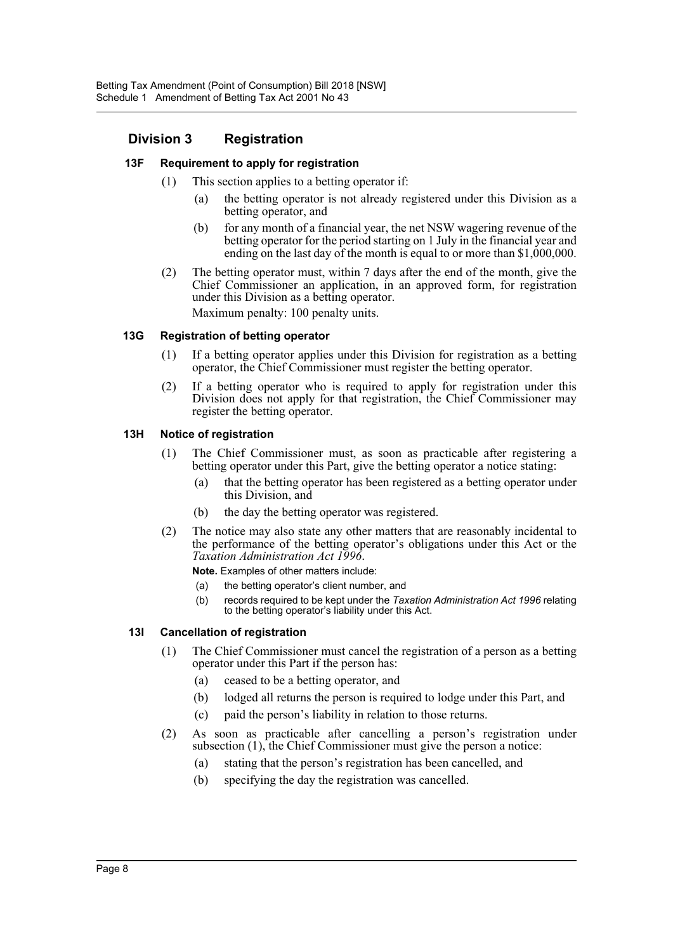## **Division 3 Registration**

#### **13F Requirement to apply for registration**

- (1) This section applies to a betting operator if:
	- (a) the betting operator is not already registered under this Division as a betting operator, and
	- (b) for any month of a financial year, the net NSW wagering revenue of the betting operator for the period starting on 1 July in the financial year and ending on the last day of the month is equal to or more than \$1,000,000.
- (2) The betting operator must, within 7 days after the end of the month, give the Chief Commissioner an application, in an approved form, for registration under this Division as a betting operator. Maximum penalty: 100 penalty units.

#### **13G Registration of betting operator**

- (1) If a betting operator applies under this Division for registration as a betting operator, the Chief Commissioner must register the betting operator.
- (2) If a betting operator who is required to apply for registration under this Division does not apply for that registration, the Chief Commissioner may register the betting operator.

#### **13H Notice of registration**

- (1) The Chief Commissioner must, as soon as practicable after registering a betting operator under this Part, give the betting operator a notice stating:
	- (a) that the betting operator has been registered as a betting operator under this Division, and
	- (b) the day the betting operator was registered.
- (2) The notice may also state any other matters that are reasonably incidental to the performance of the betting operator's obligations under this Act or the *Taxation Administration Act 1996*.

**Note.** Examples of other matters include:

- (a) the betting operator's client number, and
- (b) records required to be kept under the *Taxation Administration Act 1996* relating to the betting operator's liability under this Act.

#### **13I Cancellation of registration**

- (1) The Chief Commissioner must cancel the registration of a person as a betting operator under this Part if the person has:
	- (a) ceased to be a betting operator, and
	- (b) lodged all returns the person is required to lodge under this Part, and
	- (c) paid the person's liability in relation to those returns.
- (2) As soon as practicable after cancelling a person's registration under subsection (1), the Chief Commissioner must give the person a notice:
	- (a) stating that the person's registration has been cancelled, and
	- (b) specifying the day the registration was cancelled.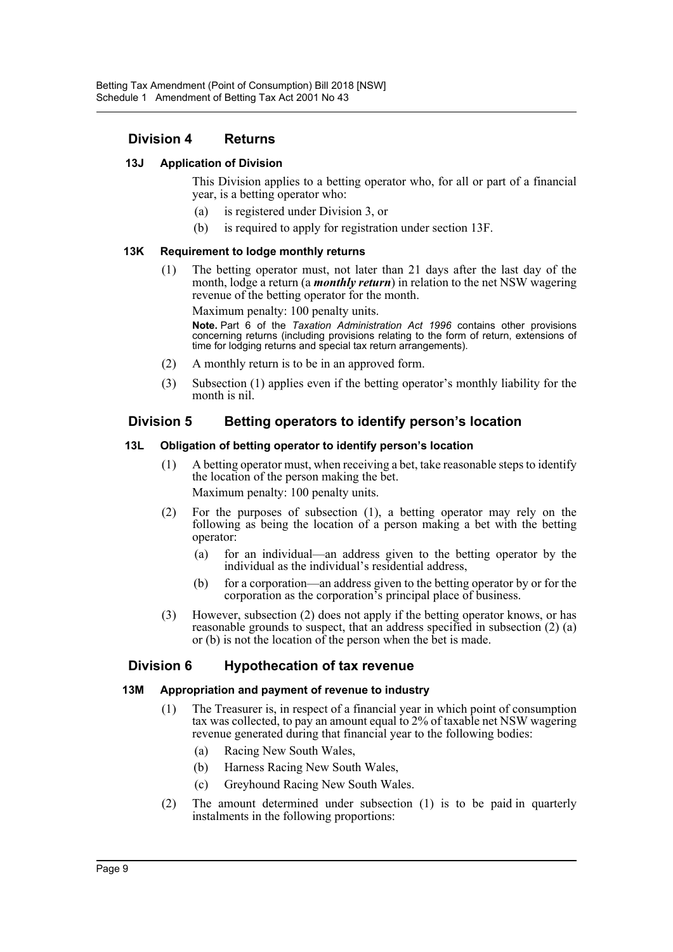### **Division 4 Returns**

#### **13J Application of Division**

This Division applies to a betting operator who, for all or part of a financial year, is a betting operator who:

- (a) is registered under Division 3, or
- (b) is required to apply for registration under section 13F.

#### **13K Requirement to lodge monthly returns**

(1) The betting operator must, not later than 21 days after the last day of the month, lodge a return (a *monthly return*) in relation to the net NSW wagering revenue of the betting operator for the month.

Maximum penalty: 100 penalty units.

**Note.** Part 6 of the *Taxation Administration Act 1996* contains other provisions concerning returns (including provisions relating to the form of return, extensions of time for lodging returns and special tax return arrangements).

- (2) A monthly return is to be in an approved form.
- (3) Subsection (1) applies even if the betting operator's monthly liability for the month is nil.

#### **Division 5 Betting operators to identify person's location**

#### **13L Obligation of betting operator to identify person's location**

- (1) A betting operator must, when receiving a bet, take reasonable steps to identify the location of the person making the bet. Maximum penalty: 100 penalty units.
- (2) For the purposes of subsection (1), a betting operator may rely on the following as being the location of a person making a bet with the betting operator:
	- (a) for an individual—an address given to the betting operator by the individual as the individual's residential address,
	- (b) for a corporation—an address given to the betting operator by or for the corporation as the corporation's principal place of business.
- (3) However, subsection (2) does not apply if the betting operator knows, or has reasonable grounds to suspect, that an address specified in subsection (2) (a) or (b) is not the location of the person when the bet is made.

#### **Division 6 Hypothecation of tax revenue**

#### **13M Appropriation and payment of revenue to industry**

- (1) The Treasurer is, in respect of a financial year in which point of consumption tax was collected, to pay an amount equal to 2% of taxable net NSW wagering revenue generated during that financial year to the following bodies:
	- (a) Racing New South Wales,
	- (b) Harness Racing New South Wales,
	- (c) Greyhound Racing New South Wales.
- (2) The amount determined under subsection (1) is to be paid in quarterly instalments in the following proportions: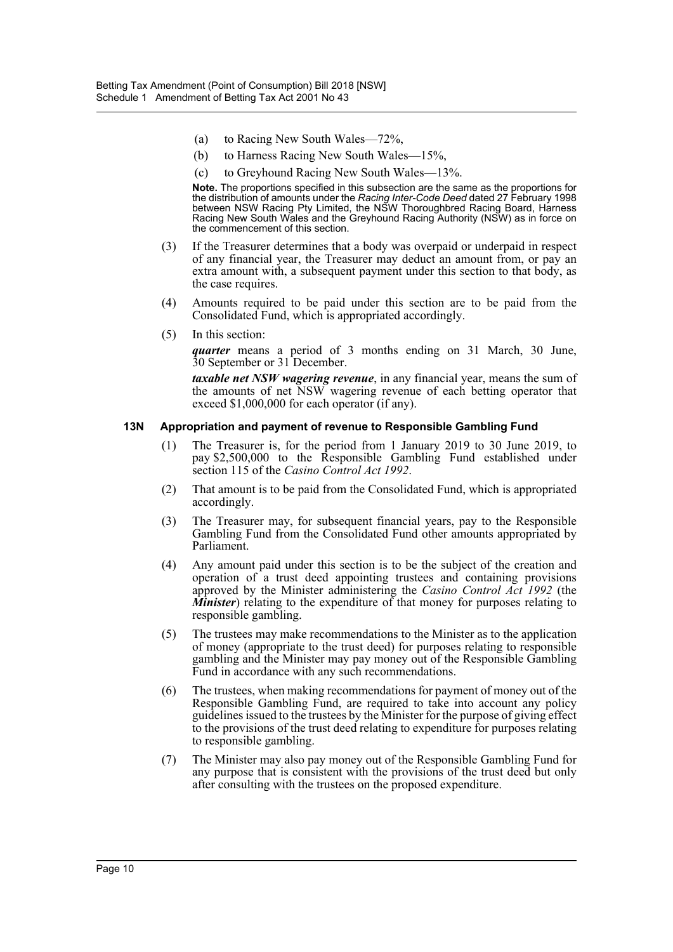- (a) to Racing New South Wales—72%,
- (b) to Harness Racing New South Wales—15%,
- (c) to Greyhound Racing New South Wales—13%.

**Note.** The proportions specified in this subsection are the same as the proportions for the distribution of amounts under the *Racing Inter-Code Deed* dated 27 February 1998 between NSW Racing Pty Limited, the NSW Thoroughbred Racing Board, Harness Racing New South Wales and the Greyhound Racing Authority (NSW) as in force on the commencement of this section.

- (3) If the Treasurer determines that a body was overpaid or underpaid in respect of any financial year, the Treasurer may deduct an amount from, or pay an extra amount with, a subsequent payment under this section to that body, as the case requires.
- (4) Amounts required to be paid under this section are to be paid from the Consolidated Fund, which is appropriated accordingly.
- (5) In this section:

*quarter* means a period of 3 months ending on 31 March, 30 June, 30 September or 31 December.

*taxable net NSW wagering revenue*, in any financial year, means the sum of the amounts of net NSW wagering revenue of each betting operator that exceed \$1,000,000 for each operator (if any).

#### **13N Appropriation and payment of revenue to Responsible Gambling Fund**

- (1) The Treasurer is, for the period from 1 January 2019 to 30 June 2019, to pay \$2,500,000 to the Responsible Gambling Fund established under section 115 of the *Casino Control Act 1992*.
- (2) That amount is to be paid from the Consolidated Fund, which is appropriated accordingly.
- (3) The Treasurer may, for subsequent financial years, pay to the Responsible Gambling Fund from the Consolidated Fund other amounts appropriated by Parliament.
- (4) Any amount paid under this section is to be the subject of the creation and operation of a trust deed appointing trustees and containing provisions approved by the Minister administering the *Casino Control Act 1992* (the *Minister*) relating to the expenditure of that money for purposes relating to responsible gambling.
- (5) The trustees may make recommendations to the Minister as to the application of money (appropriate to the trust deed) for purposes relating to responsible gambling and the Minister may pay money out of the Responsible Gambling Fund in accordance with any such recommendations.
- (6) The trustees, when making recommendations for payment of money out of the Responsible Gambling Fund, are required to take into account any policy guidelines issued to the trustees by the Minister for the purpose of giving effect to the provisions of the trust deed relating to expenditure for purposes relating to responsible gambling.
- (7) The Minister may also pay money out of the Responsible Gambling Fund for any purpose that is consistent with the provisions of the trust deed but only after consulting with the trustees on the proposed expenditure.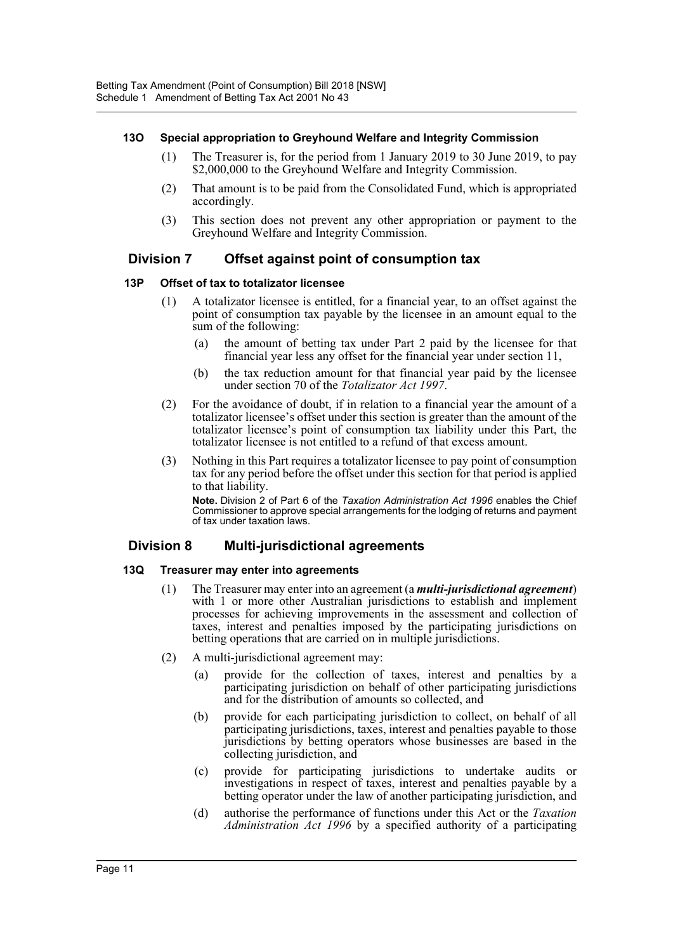#### **13O Special appropriation to Greyhound Welfare and Integrity Commission**

- (1) The Treasurer is, for the period from 1 January 2019 to 30 June 2019, to pay \$2,000,000 to the Greyhound Welfare and Integrity Commission.
- (2) That amount is to be paid from the Consolidated Fund, which is appropriated accordingly.
- (3) This section does not prevent any other appropriation or payment to the Greyhound Welfare and Integrity Commission.

## **Division 7 Offset against point of consumption tax**

#### **13P Offset of tax to totalizator licensee**

- (1) A totalizator licensee is entitled, for a financial year, to an offset against the point of consumption tax payable by the licensee in an amount equal to the sum of the following:
	- (a) the amount of betting tax under Part 2 paid by the licensee for that financial year less any offset for the financial year under section 11,
	- (b) the tax reduction amount for that financial year paid by the licensee under section 70 of the *Totalizator Act 1997*.
- (2) For the avoidance of doubt, if in relation to a financial year the amount of a totalizator licensee's offset under this section is greater than the amount of the totalizator licensee's point of consumption tax liability under this Part, the totalizator licensee is not entitled to a refund of that excess amount.
- (3) Nothing in this Part requires a totalizator licensee to pay point of consumption tax for any period before the offset under this section for that period is applied to that liability.

**Note.** Division 2 of Part 6 of the *Taxation Administration Act 1996* enables the Chief Commissioner to approve special arrangements for the lodging of returns and payment of tax under taxation laws.

## **Division 8 Multi-jurisdictional agreements**

#### **13Q Treasurer may enter into agreements**

- (1) The Treasurer may enter into an agreement (a *multi-jurisdictional agreement*) with 1 or more other Australian jurisdictions to establish and implement processes for achieving improvements in the assessment and collection of taxes, interest and penalties imposed by the participating jurisdictions on betting operations that are carried on in multiple jurisdictions.
- (2) A multi-jurisdictional agreement may:
	- (a) provide for the collection of taxes, interest and penalties by a participating jurisdiction on behalf of other participating jurisdictions and for the distribution of amounts so collected, and
	- (b) provide for each participating jurisdiction to collect, on behalf of all participating jurisdictions, taxes, interest and penalties payable to those jurisdictions by betting operators whose businesses are based in the collecting jurisdiction, and
	- (c) provide for participating jurisdictions to undertake audits or investigations in respect of taxes, interest and penalties payable by a betting operator under the law of another participating jurisdiction, and
	- (d) authorise the performance of functions under this Act or the *Taxation Administration Act 1996* by a specified authority of a participating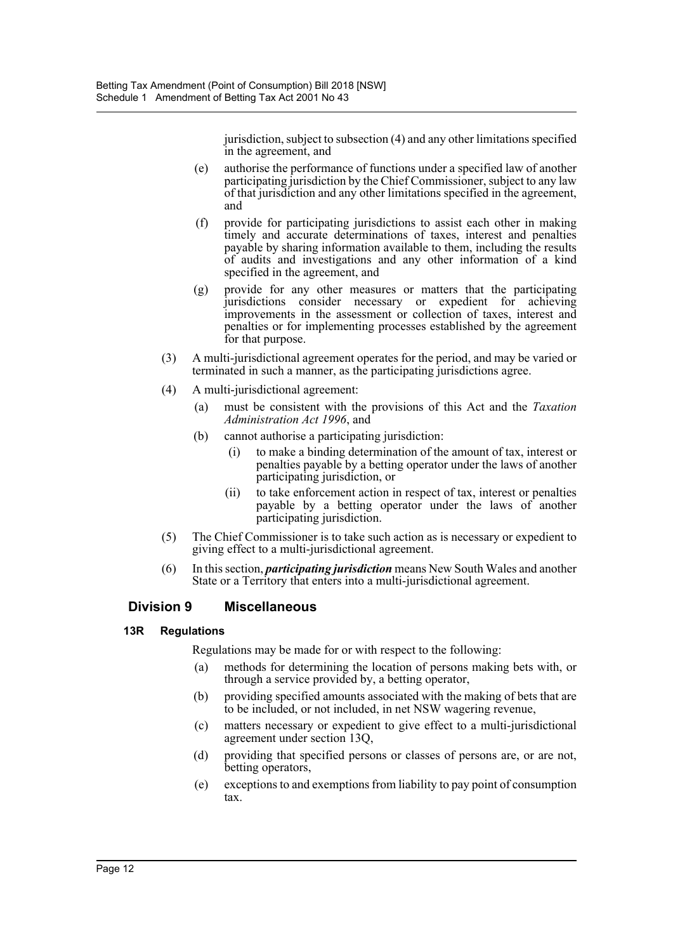jurisdiction, subject to subsection (4) and any other limitations specified in the agreement, and

- (e) authorise the performance of functions under a specified law of another participating jurisdiction by the Chief Commissioner, subject to any law of that jurisdiction and any other limitations specified in the agreement, and
- (f) provide for participating jurisdictions to assist each other in making timely and accurate determinations of taxes, interest and penalties payable by sharing information available to them, including the results of audits and investigations and any other information of a kind specified in the agreement, and
- (g) provide for any other measures or matters that the participating jurisdictions consider necessary or expedient for achieving improvements in the assessment or collection of taxes, interest and penalties or for implementing processes established by the agreement for that purpose.
- (3) A multi-jurisdictional agreement operates for the period, and may be varied or terminated in such a manner, as the participating jurisdictions agree.
- (4) A multi-jurisdictional agreement:
	- (a) must be consistent with the provisions of this Act and the *Taxation Administration Act 1996*, and
	- (b) cannot authorise a participating jurisdiction:
		- (i) to make a binding determination of the amount of tax, interest or penalties payable by a betting operator under the laws of another participating jurisdiction, or
		- (ii) to take enforcement action in respect of tax, interest or penalties payable by a betting operator under the laws of another participating jurisdiction.
- (5) The Chief Commissioner is to take such action as is necessary or expedient to giving effect to a multi-jurisdictional agreement.
- (6) In this section, *participating jurisdiction* means New South Wales and another State or a Territory that enters into a multi-jurisdictional agreement.

## **Division 9 Miscellaneous**

#### **13R Regulations**

Regulations may be made for or with respect to the following:

- (a) methods for determining the location of persons making bets with, or through a service provided by, a betting operator,
- (b) providing specified amounts associated with the making of bets that are to be included, or not included, in net NSW wagering revenue,
- (c) matters necessary or expedient to give effect to a multi-jurisdictional agreement under section 13Q,
- (d) providing that specified persons or classes of persons are, or are not, betting operators,
- (e) exceptions to and exemptions from liability to pay point of consumption tax.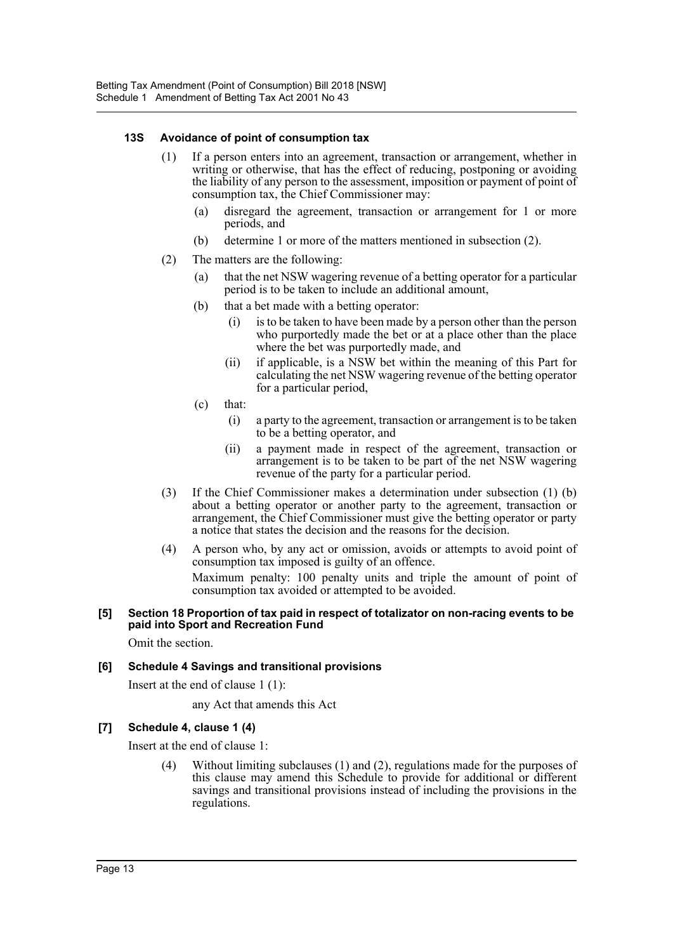#### **13S Avoidance of point of consumption tax**

- (1) If a person enters into an agreement, transaction or arrangement, whether in writing or otherwise, that has the effect of reducing, postponing or avoiding the liability of any person to the assessment, imposition or payment of point of consumption tax, the Chief Commissioner may:
	- (a) disregard the agreement, transaction or arrangement for 1 or more periods, and
	- (b) determine 1 or more of the matters mentioned in subsection (2).
- (2) The matters are the following:
	- (a) that the net NSW wagering revenue of a betting operator for a particular period is to be taken to include an additional amount,
	- (b) that a bet made with a betting operator:
		- (i) is to be taken to have been made by a person other than the person who purportedly made the bet or at a place other than the place where the bet was purportedly made, and
		- (ii) if applicable, is a NSW bet within the meaning of this Part for calculating the net NSW wagering revenue of the betting operator for a particular period,
	- (c) that:
		- (i) a party to the agreement, transaction or arrangement is to be taken to be a betting operator, and
		- (ii) a payment made in respect of the agreement, transaction or arrangement is to be taken to be part of the net NSW wagering revenue of the party for a particular period.
- (3) If the Chief Commissioner makes a determination under subsection (1) (b) about a betting operator or another party to the agreement, transaction or arrangement, the Chief Commissioner must give the betting operator or party a notice that states the decision and the reasons for the decision.
- (4) A person who, by any act or omission, avoids or attempts to avoid point of consumption tax imposed is guilty of an offence.

Maximum penalty: 100 penalty units and triple the amount of point of consumption tax avoided or attempted to be avoided.

#### **[5] Section 18 Proportion of tax paid in respect of totalizator on non-racing events to be paid into Sport and Recreation Fund**

Omit the section.

#### **[6] Schedule 4 Savings and transitional provisions**

Insert at the end of clause 1 (1):

any Act that amends this Act

#### **[7] Schedule 4, clause 1 (4)**

Insert at the end of clause 1:

(4) Without limiting subclauses (1) and (2), regulations made for the purposes of this clause may amend this Schedule to provide for additional or different savings and transitional provisions instead of including the provisions in the regulations.